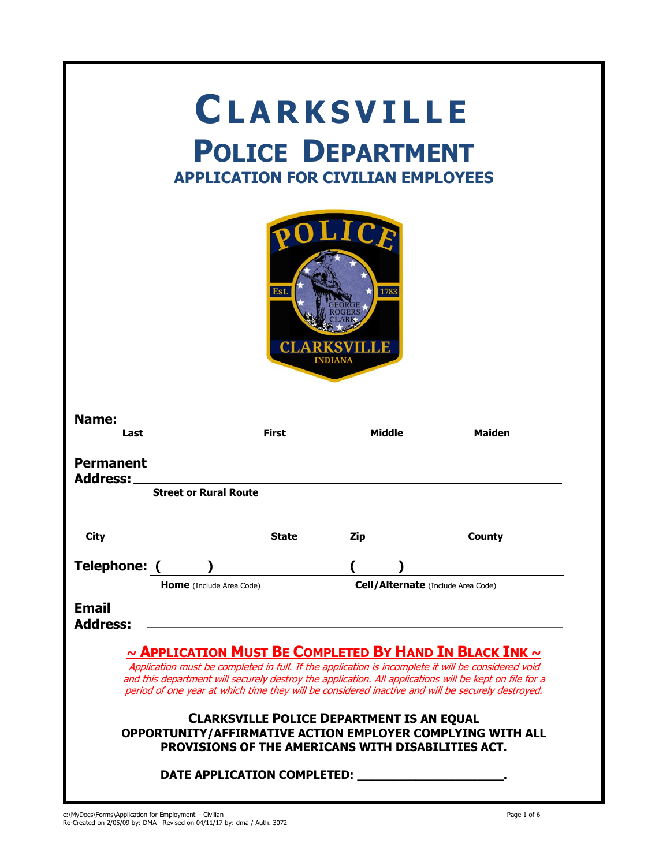| <b>CLARKSVILLE</b><br><b>POLICE DEPARTMENT</b><br><b>APPLICATION FOR CIVILIAN EMPLOYEES</b> |                                                                                                        |               |                                                                                                                                                                                                                                                                                                                                                                             |  |  |
|---------------------------------------------------------------------------------------------|--------------------------------------------------------------------------------------------------------|---------------|-----------------------------------------------------------------------------------------------------------------------------------------------------------------------------------------------------------------------------------------------------------------------------------------------------------------------------------------------------------------------------|--|--|
| Est.<br>1783<br><b>INDIANA</b>                                                              |                                                                                                        |               |                                                                                                                                                                                                                                                                                                                                                                             |  |  |
| Name:<br>Last                                                                               | <b>First</b>                                                                                           | <b>Middle</b> | <b>Maiden</b>                                                                                                                                                                                                                                                                                                                                                               |  |  |
| <b>Permanent</b>                                                                            |                                                                                                        |               |                                                                                                                                                                                                                                                                                                                                                                             |  |  |
| <b>Address:</b>                                                                             | <b>Street or Rural Route</b>                                                                           |               |                                                                                                                                                                                                                                                                                                                                                                             |  |  |
| <b>City</b>                                                                                 | <b>State</b>                                                                                           | <b>Zip</b>    | <b>County</b>                                                                                                                                                                                                                                                                                                                                                               |  |  |
| Telephone: (                                                                                |                                                                                                        |               |                                                                                                                                                                                                                                                                                                                                                                             |  |  |
| <b>Email</b><br><b>Address:</b>                                                             | <b>Home</b> (Include Area Code)                                                                        |               | Cell/Alternate (Include Area Code)                                                                                                                                                                                                                                                                                                                                          |  |  |
|                                                                                             |                                                                                                        |               | ~ APPLICATION MUST BE COMPLETED BY HAND IN BLACK INK ~<br>Application must be completed in full. If the application is incomplete it will be considered void<br>and this department will securely destroy the application. All applications will be kept on file for a<br>period of one year at which time they will be considered inactive and will be securely destroyed. |  |  |
|                                                                                             | <b>CLARKSVILLE POLICE DEPARTMENT IS AN EQUAL</b><br>PROVISIONS OF THE AMERICANS WITH DISABILITIES ACT. |               | OPPORTUNITY/AFFIRMATIVE ACTION EMPLOYER COMPLYING WITH ALL                                                                                                                                                                                                                                                                                                                  |  |  |
|                                                                                             | DATE APPLICATION COMPLETED: [19] DATE APPLICATION COMPLETED:                                           |               |                                                                                                                                                                                                                                                                                                                                                                             |  |  |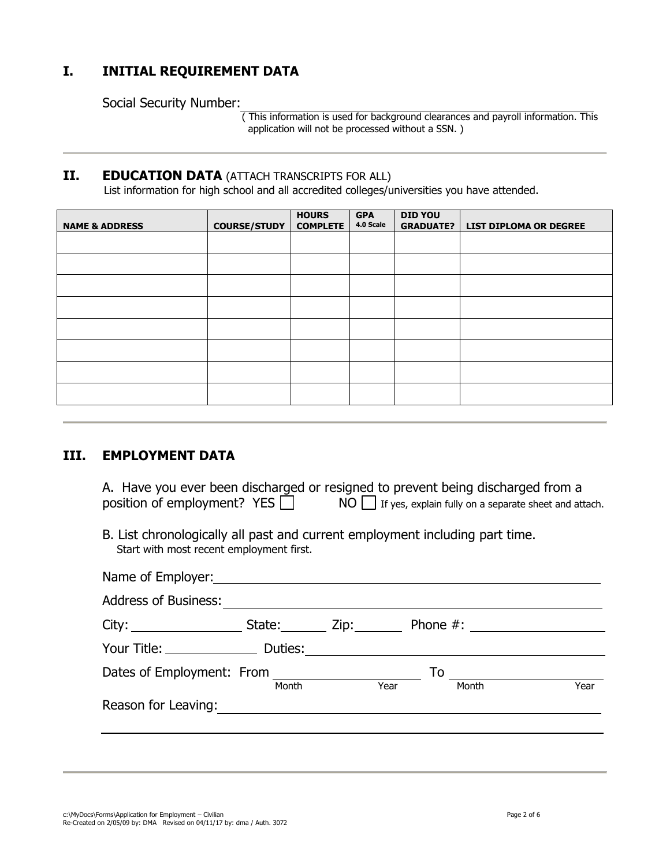## **I. INITIAL REQUIREMENT DATA**

Social Security Number:

 ( This information is used for background clearances and payroll information. This application will not be processed without a SSN. )

## **II. EDUCATION DATA** (ATTACH TRANSCRIPTS FOR ALL)

List information for high school and all accredited colleges/universities you have attended.

| <b>NAME &amp; ADDRESS</b> | <b>COURSE/STUDY</b> | <b>HOURS</b><br><b>COMPLETE</b> | <b>GPA</b><br>4.0 Scale | <b>DID YOU</b><br><b>GRADUATE?</b> | <b>LIST DIPLOMA OR DEGREE</b> |
|---------------------------|---------------------|---------------------------------|-------------------------|------------------------------------|-------------------------------|
|                           |                     |                                 |                         |                                    |                               |
|                           |                     |                                 |                         |                                    |                               |
|                           |                     |                                 |                         |                                    |                               |
|                           |                     |                                 |                         |                                    |                               |
|                           |                     |                                 |                         |                                    |                               |
|                           |                     |                                 |                         |                                    |                               |
|                           |                     |                                 |                         |                                    |                               |
|                           |                     |                                 |                         |                                    |                               |

## **III. EMPLOYMENT DATA**

| A. Have you ever been discharged or resigned to prevent being discharged from a |  |                                                                                      |  |
|---------------------------------------------------------------------------------|--|--------------------------------------------------------------------------------------|--|
| position of employment? YES                                                     |  | $\mathsf{NO} \sqcup \mathsf{I}$ If yes, explain fully on a separate sheet and attach |  |

B. List chronologically all past and current employment including part time. Start with most recent employment first.

| Name of Employer: Name of Employer:<br><b>Address of Business:</b> |             |      |    |       |      |
|--------------------------------------------------------------------|-------------|------|----|-------|------|
|                                                                    |             |      |    |       |      |
| City:                                                              | State: Zip: |      |    |       |      |
| Your Title: Duties:                                                |             |      |    |       |      |
|                                                                    |             |      | To |       |      |
|                                                                    | Month       | Year |    | Month | Year |
| Reason for Leaving:                                                |             |      |    |       |      |
|                                                                    |             |      |    |       |      |
|                                                                    |             |      |    |       |      |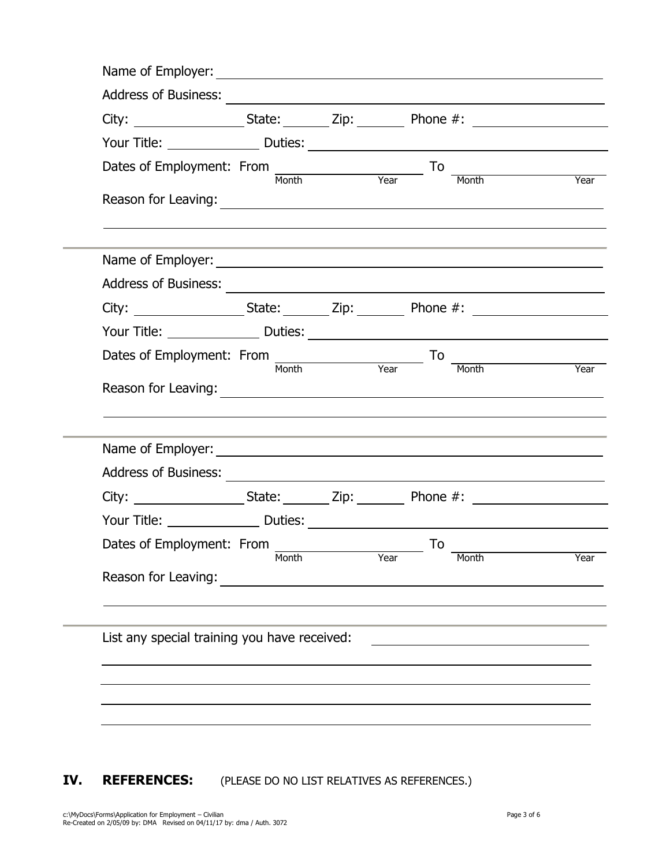| Dates of Employment: From<br>Month Year To                                                                                                                                                                                     |       |      |    | Month                                                                                                                                                                                                                                   | <u>and</u><br>Year |
|--------------------------------------------------------------------------------------------------------------------------------------------------------------------------------------------------------------------------------|-------|------|----|-----------------------------------------------------------------------------------------------------------------------------------------------------------------------------------------------------------------------------------------|--------------------|
| Reason for Leaving:                                                                                                                                                                                                            |       |      |    |                                                                                                                                                                                                                                         |                    |
|                                                                                                                                                                                                                                |       |      |    |                                                                                                                                                                                                                                         |                    |
|                                                                                                                                                                                                                                |       |      |    |                                                                                                                                                                                                                                         |                    |
| City: _____________________State: ________ Zip: __________ Phone #: ________________________________                                                                                                                           |       |      |    |                                                                                                                                                                                                                                         |                    |
|                                                                                                                                                                                                                                |       |      |    |                                                                                                                                                                                                                                         |                    |
| Dates of Employment: From<br>Month Year                                                                                                                                                                                        |       |      | To | Month<br>and the set of the set of the set of the set of the set of the set of the set of the set of the set of the set of the set of the set of the set of the set of the set of the set of the set of the set of the set of the set o |                    |
| Reason for Leaving: 2008 and 2008 and 2008 and 2008 and 2008 and 2008 and 2008 and 2008 and 2008 and 2008 and 2008 and 2008 and 2008 and 2008 and 2008 and 2008 and 2008 and 2008 and 2008 and 2008 and 2008 and 2008 and 2008 |       |      |    |                                                                                                                                                                                                                                         |                    |
|                                                                                                                                                                                                                                |       |      |    |                                                                                                                                                                                                                                         |                    |
|                                                                                                                                                                                                                                |       |      |    |                                                                                                                                                                                                                                         |                    |
| City: _____________________State: ________ Zip: __________ Phone #: ________________________________                                                                                                                           |       |      |    |                                                                                                                                                                                                                                         |                    |
| Dates of Employment: From                                                                                                                                                                                                      |       |      | To |                                                                                                                                                                                                                                         |                    |
|                                                                                                                                                                                                                                | Month | Year |    | Month                                                                                                                                                                                                                                   |                    |
| Reason for Leaving:                                                                                                                                                                                                            |       |      |    |                                                                                                                                                                                                                                         |                    |
| List any special training you have received:                                                                                                                                                                                   |       |      |    |                                                                                                                                                                                                                                         |                    |
|                                                                                                                                                                                                                                |       |      |    |                                                                                                                                                                                                                                         |                    |
|                                                                                                                                                                                                                                |       |      |    |                                                                                                                                                                                                                                         |                    |
|                                                                                                                                                                                                                                |       |      |    |                                                                                                                                                                                                                                         |                    |

**IV. REFERENCES:** (PLEASE DO NO LIST RELATIVES AS REFERENCES.)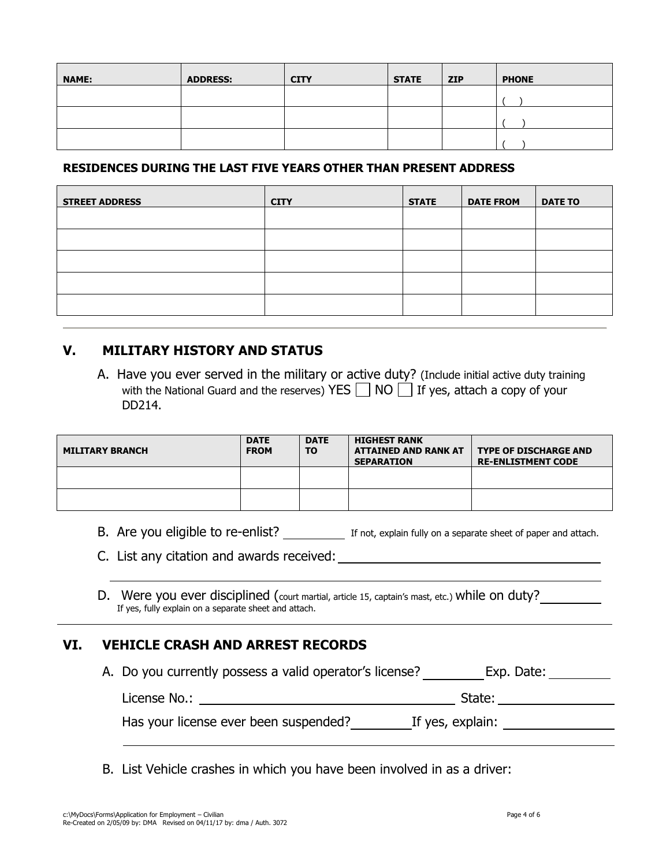| <b>NAME:</b> | <b>ADDRESS:</b> | <b>CITY</b> | <b>STATE</b> | $\overline{\phantom{a}}$ ZIP | <b>PHONE</b> |
|--------------|-----------------|-------------|--------------|------------------------------|--------------|
|              |                 |             |              |                              |              |
|              |                 |             |              |                              |              |
|              |                 |             |              |                              |              |

### **RESIDENCES DURING THE LAST FIVE YEARS OTHER THAN PRESENT ADDRESS**

| <b>STREET ADDRESS</b> | <b>CITY</b> | <b>STATE</b> | <b>DATE FROM</b> | <b>DATE TO</b> |
|-----------------------|-------------|--------------|------------------|----------------|
|                       |             |              |                  |                |
|                       |             |              |                  |                |
|                       |             |              |                  |                |
|                       |             |              |                  |                |
|                       |             |              |                  |                |

## **V. MILITARY HISTORY AND STATUS**

A. Have you ever served in the military or active duty? (Include initial active duty training with the National Guard and the reserves) YES  $\Box$  NO  $\Box$  If yes, attach a copy of your DD214.

| <b>MILITARY BRANCH</b> | <b>DATE</b><br><b>FROM</b> | <b>DATE</b><br><b>TO</b> | <b>HIGHEST RANK</b><br><b>ATTAINED AND RANK AT</b><br><b>SEPARATION</b> | <b>TYPE OF DISCHARGE AND</b><br><b>RE-ENLISTMENT CODE</b> |
|------------------------|----------------------------|--------------------------|-------------------------------------------------------------------------|-----------------------------------------------------------|
|                        |                            |                          |                                                                         |                                                           |
|                        |                            |                          |                                                                         |                                                           |

B. Are you eligible to re-enlist? If not, explain fully on a separate sheet of paper and attach.

C. List any citation and awards received:

D. Were you ever disciplined (court martial, article 15, captain's mast, etc.) while on duty? If yes, fully explain on a separate sheet and attach.

## **VI. VEHICLE CRASH AND ARREST RECORDS**

A. Do you currently possess a valid operator's license? Exp. Date: \_\_\_\_\_\_\_\_

License No.: State:

Has your license ever been suspended? If yes, explain:

B. List Vehicle crashes in which you have been involved in as a driver: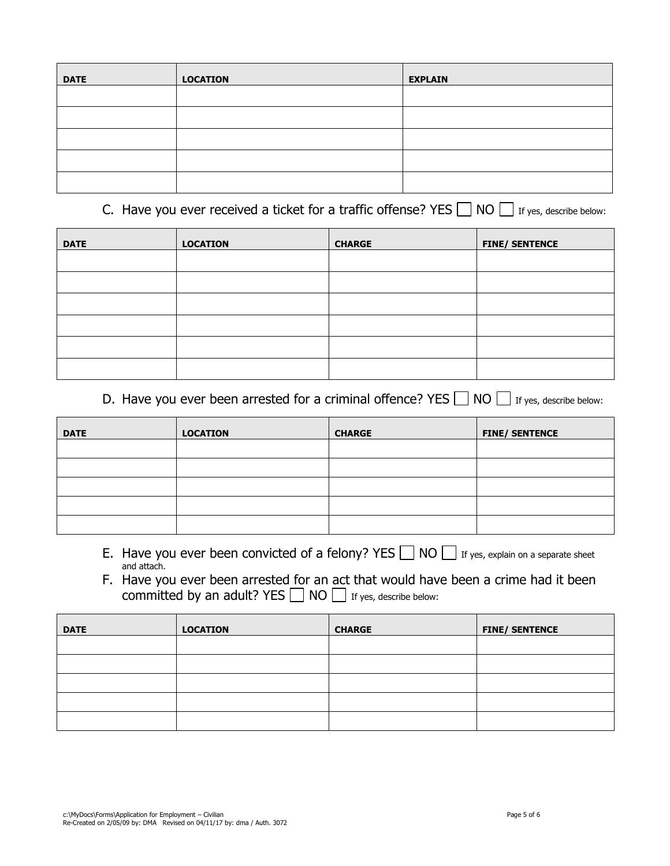| <b>DATE</b> | <b>LOCATION</b> | <b>EXPLAIN</b> |
|-------------|-----------------|----------------|
|             |                 |                |
|             |                 |                |
|             |                 |                |
|             |                 |                |
|             |                 |                |

# C. Have you ever received a ticket for a traffic offense? YES  $\Box$  NO  $\Box$  If yes, describe below:

| <b>DATE</b> | <b>LOCATION</b> | <b>CHARGE</b> | <b>FINE/ SENTENCE</b> |
|-------------|-----------------|---------------|-----------------------|
|             |                 |               |                       |
|             |                 |               |                       |
|             |                 |               |                       |
|             |                 |               |                       |
|             |                 |               |                       |
|             |                 |               |                       |

## D. Have you ever been arrested for a criminal offence? YES  $\Box$  NO  $\Box$  If yes, describe below:

| <b>DATE</b> | <b>LOCATION</b> | <b>CHARGE</b> | <b>FINE/ SENTENCE</b> |
|-------------|-----------------|---------------|-----------------------|
|             |                 |               |                       |
|             |                 |               |                       |
|             |                 |               |                       |
|             |                 |               |                       |
|             |                 |               |                       |

- E. Have you ever been convicted of a felony? YES  $\Box$  NO  $\Box$  If yes, explain on a separate sheet and attach.
- F. Have you ever been arrested for an act that would have been a crime had it been committed by an adult? YES  $\Box$  NO  $\Box$  If yes, describe below:

| <b>DATE</b> | <b>LOCATION</b> | <b>CHARGE</b> | <b>FINE/ SENTENCE</b> |
|-------------|-----------------|---------------|-----------------------|
|             |                 |               |                       |
|             |                 |               |                       |
|             |                 |               |                       |
|             |                 |               |                       |
|             |                 |               |                       |